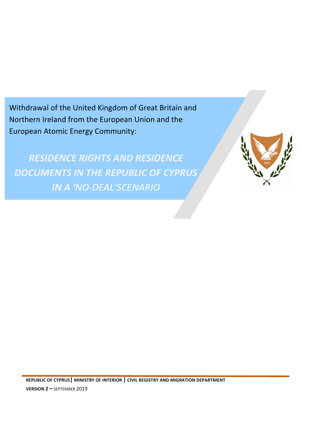Withdrawal of the United Kingdom of Great Britain and Northern Ireland from the European Union and the European Atomic Energy Community:

*RESIDENCE RIGHTS AND RESIDENCE DOCUMENTS IN THE REPUBLIC OF CYPRUS IN A 'NO-DEAL'SCENARIO*

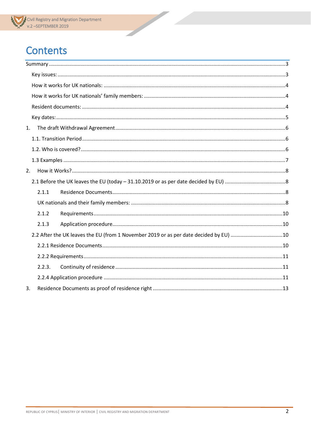## **Contents**

| 1. |                                                                                       |  |  |
|----|---------------------------------------------------------------------------------------|--|--|
|    |                                                                                       |  |  |
|    |                                                                                       |  |  |
|    |                                                                                       |  |  |
| 2. |                                                                                       |  |  |
|    |                                                                                       |  |  |
|    | 2.1.1                                                                                 |  |  |
|    |                                                                                       |  |  |
|    | 2.1.2                                                                                 |  |  |
|    | 2.1.3                                                                                 |  |  |
|    | 2.2 After the UK leaves the EU (from 1 November 2019 or as per date decided by EU) 10 |  |  |
|    |                                                                                       |  |  |
|    |                                                                                       |  |  |
|    | 2.2.3.                                                                                |  |  |
|    |                                                                                       |  |  |
| 3. |                                                                                       |  |  |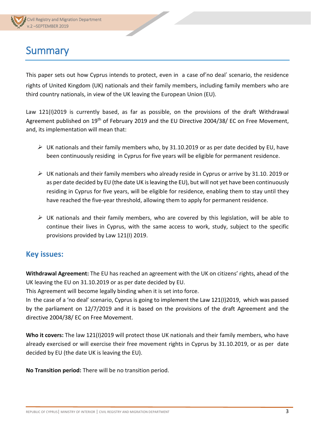## <span id="page-2-0"></span>**Summary**

This paper sets out how Cyprus intends to protect, even in a case of'no deal' scenario, the residence rights of United Kingdom (UK) nationals and their family members, including family members who are third country nationals, in view of the UK leaving the European Union (EU).

Law 121(I)2019 is currently based, as far as possible, on the provisions of the draft Withdrawal Agreement published on 19<sup>th</sup> of February 2019 and the EU Directive 2004/38/ EC on Free Movement, and, its implementation will mean that:

- $\triangleright$  UK nationals and their family members who, by 31.10.2019 or as per date decided by EU, have been continuously residing in Cyprus for five years will be eligible for permanent residence.
- $\triangleright$  UK nationals and their family members who already reside in Cyprus or arrive by 31.10. 2019 or as per date decided by EU (the date UK is leaving the EU), but will not yet have been continuously residing in Cyprus for five years, will be eligible for residence, enabling them to stay until they have reached the five-year threshold, allowing them to apply for permanent residence.
- $\triangleright$  UK nationals and their family members, who are covered by this legislation, will be able to continue their lives in Cyprus, with the same access to work, study, subject to the specific provisions provided by Law 121(I) 2019.

## <span id="page-2-1"></span>**Key issues:**

**Withdrawal Agreement:** The EU has reached [an agreement](https://ec.europa.eu/commission/sites/beta-political/files/draft_agreement_coloured.pdf) with the UK on citizens' rights, ahead of the UK leaving the EU on 31.10.2019 or as per date decided by EU.

This Agreement will become legally binding when it is set into force.

In the case of a 'no deal' scenario, Cyprus is going to implement the Law 121(I)2019, which was passed by the parliament on 12/7/2019 and it is based on the provisions of the draft Agreement and the directive 2004/38/ EC on Free Movement.

**Who it covers:** The law 121(I)2019 will protect those UK nationals and their family members, who have already exercised or will exercise their free movement rights in Cyprus by 31.10.2019, or as per date decided by EU (the date UK is leaving the EU).

**No Transition period:** There will be no transition period.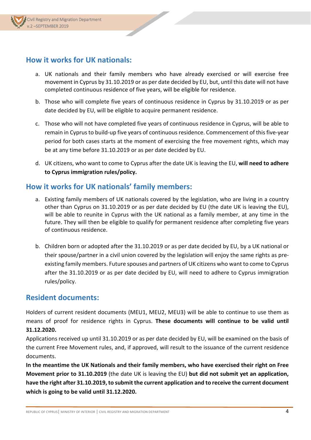## <span id="page-3-0"></span>**How it works for UK nationals:**

a. UK nationals and their family members who have already exercised or will exercise free movement in Cyprus by 31.10.2019 or as per date decided by EU, but, until this date will not have completed continuous residence of five years, will be eligible for residence.

- b. Those who will complete five years of continuous residence in Cyprus by 31.10.2019 or as per date decided by EU, will be eligible to acquire permanent residence.
- c. Those who will not have completed five years of continuous residence in Cyprus, will be able to remain in Cyprus to build-up five years of continuous residence. Commencement of this five-year period for both cases starts at the moment of exercising the free movement rights, which may be at any time before 31.10.2019 or as per date decided by EU.
- d. UK citizens, who want to come to Cyprus after the date UK is leaving the EU, **will need to adhere to Cyprus immigration rules/policy.**

### <span id="page-3-1"></span>**How it works for UK nationals' family members:**

- a. Existing family members of UK nationals covered by the legislation, who are living in a country other than Cyprus on 31.10.2019 or as per date decided by EU (the date UK is leaving the EU), will be able to reunite in Cyprus with the UK national as a family member, at any time in the future. They will then be eligible to qualify for permanent residence after completing five years of continuous residence.
- b. Children born or adopted after the 31.10.2019 or as per date decided by EU, by a UK national or their spouse/partner in a civil union covered by the legislation will enjoy the same rights as preexisting family members. Future spouses and partners of UK citizens who want to come to Cyprus after the 31.10.2019 or as per date decided by EU, will need to adhere to Cyprus immigration rules/policy.

### <span id="page-3-2"></span>**Resident documents:**

Holders of current resident documents (MEU1, MEU2, MEU3) will be able to continue to use them as means of proof for residence rights in Cyprus. **These documents will continue to be valid until 31.12.2020.**

Applications received up until 31.10.2019 or as per date decided by EU, will be examined on the basis of the current Free Movement rules, and, if approved, will result to the issuance of the current residence documents.

**In the meantime the UK Nationals and their family members, who have exercised their right on Free Movement prior to 31.10.2019** (the date UK is leaving the EU) **but did not submit yet an application, have the right after 31.10.2019, to submit the current application and to receive the current document which is going to be valid until 31.12.2020.**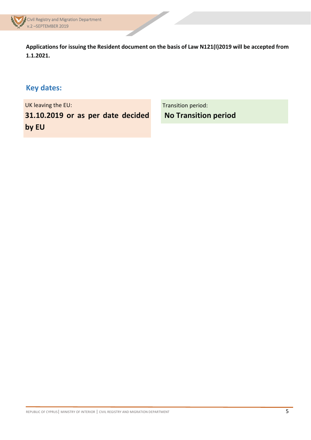

**Applications for issuing the Resident document on the basis of Law N121(I)2019 will be accepted from 1.1.2021.** 

## <span id="page-4-0"></span>**Key dates:**

UK leaving the EU:

**31.10.2019 or as per date decided by EU**

Transition period: **No Transition period**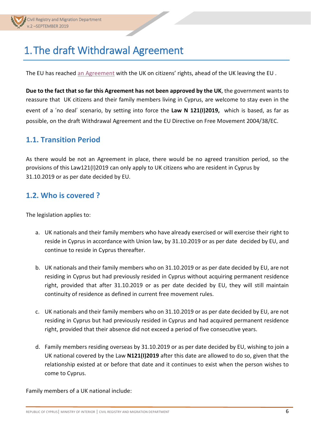# <span id="page-5-0"></span>1.The draft Withdrawal Agreement

The EU has reached [an Agreement](https://ec.europa.eu/commission/sites/beta-political/files/draft_agreement_coloured.pdf) with the UK on citizens' rights, ahead of the UK leaving the EU.

**Due to the fact that so far this Agreement has not been approved by the UK**, the government wants to reassure that UK citizens and their family members living in Cyprus, are welcome to stay even in the event of a 'no deal' scenario, by setting into force the **Law N 121(I)2019,** which is based, as far as possible, on the draft Withdrawal Agreement and the EU Directive on Free Movement 2004/38/EC.

## <span id="page-5-1"></span>**1.1. Transition Period**

As there would be not an Agreement in place, there would be no agreed transition period, so the provisions of this Law121(I)2019 can only apply to UK citizens who are resident in Cyprus by 31.10.2019 or as per date decided by EU.

### <span id="page-5-2"></span>**1.2. Who is covered ?**

The legislation applies to:

- a. UK nationals and their family members who have already exercised or will exercise their right to reside in Cyprus in accordance with Union law, by 31.10.2019 or as per date decided by EU, and continue to reside in Cyprus thereafter.
- b. UK nationals and their family members who on 31.10.2019 or as per date decided by EU, are not residing in Cyprus but had previously resided in Cyprus without acquiring permanent residence right, provided that after 31.10.2019 or as per date decided by EU, they will still maintain continuity of residence as defined in current free movement rules.
- c. UK nationals and their family members who on 31.10.2019 or as per date decided by EU, are not residing in Cyprus but had previously resided in Cyprus and had acquired permanent residence right, provided that their absence did not exceed a period of five consecutive years.
- d. Family members residing overseas by 31.10.2019 or as per date decided by EU, wishing to join a UK national covered by the Law **N121(I)2019** after this date are allowed to do so, given that the relationship existed at or before that date and it continues to exist when the person wishes to come to Cyprus.

Family members of a UK national include: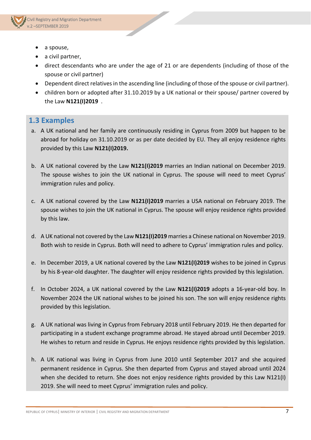

- a spouse,
- a civil partner,
- direct descendants who are under the age of 21 or are dependents (including of those of the spouse or civil partner)

- Dependent direct relatives in the ascending line (including of those of the spouse or civil partner).
- children born or adopted after 31.10.2019 by a UK national or their spouse/ partner covered by the Law **N121(I)2019** .

#### <span id="page-6-0"></span>**1.3 Examples**

- a. A UK national and her family are continuously residing in Cyprus from 2009 but happen to be abroad for holiday on 31.10.2019 or as per date decided by EU. They all enjoy residence rights provided by this Law **N121(I)2019.**
- b. A UK national covered by the Law **N121(I)2019** marries an Indian national on December 2019. The spouse wishes to join the UK national in Cyprus. The spouse will need to meet Cyprus' immigration rules and policy.
- c. A UK national covered by the Law **N121(I)2019** marries a USA national on February 2019. The spouse wishes to join the UK national in Cyprus. The spouse will enjoy residence rights provided by this law.
- d. A UK national not covered by the Law **N121(I)2019** marries a Chinese national on November 2019. Both wish to reside in Cyprus. Both will need to adhere to Cyprus' immigration rules and policy.
- e. In December 2019, a UK national covered by the Law **N121(I)2019** wishes to be joined in Cyprus by his 8-year-old daughter. The daughter will enjoy residence rights provided by this legislation.
- f. In October 2024, a UK national covered by the Law **N121(I)2019** adopts a 16-year-old boy. In November 2024 the UK national wishes to be joined his son. The son will enjoy residence rights provided by this legislation.
- g. A UK national was living in Cyprus from February 2018 until February 2019. He then departed for participating in a student exchange programme abroad. He stayed abroad until December 2019. He wishes to return and reside in Cyprus. He enjoys residence rights provided by this legislation.
- h. A UK national was living in Cyprus from June 2010 until September 2017 and she acquired permanent residence in Cyprus. She then departed from Cyprus and stayed abroad until 2024 when she decided to return. She does not enjoy residence rights provided by this Law N121(I) 2019. She will need to meet Cyprus' immigration rules and policy.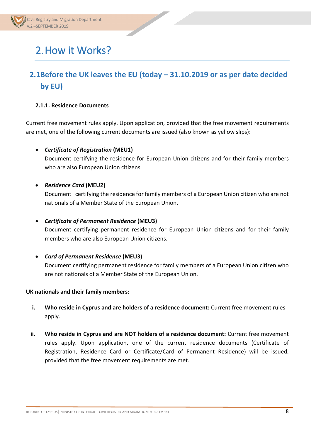# <span id="page-7-0"></span>2.How it Works?

## <span id="page-7-1"></span>**2.1Before the UK leaves the EU (today – 31.10.2019 or as per date decided by EU)**

#### <span id="page-7-2"></span>**2.1.1. Residence Documents**

Current free movement rules apply. Upon application, provided that the free movement requirements are met, one of the following current documents are issued (also known as yellow slips):

• *Certificate of Registration* **(MEU1)**

Document certifying the residence for European Union citizens and for their family members who are also European Union citizens.

• *Residence Card* **(MEU2)**

Document certifying the residence for family members of a European Union citizen who are not nationals of a Member State of the European Union.

• *Certificate of Permanent Residence* **(MEU3)**

Document certifying permanent residence for European Union citizens and for their family members who are also European Union citizens.

• *Card of Permanent Residence* **(MEU3)** Document certifying permanent residence for family members of a European Union citizen who are not nationals of a Member State of the European Union.

#### <span id="page-7-3"></span>**UK nationals and their family members:**

- **i. Who reside in Cyprus and are holders of a residence document:** Current free movement rules apply.
- **ii. Who reside in Cyprus and are NOT holders of a residence document:** Current free movement rules apply. Upon application, one of the current residence documents (Certificate of Registration, Residence Card or Certificate/Card of Permanent Residence) will be issued, provided that the free movement requirements are met.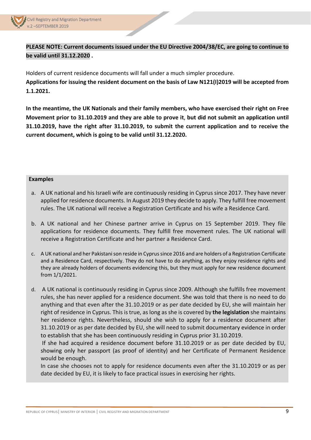

### **PLEASE NOTE: Current documents issued under the EU Directive 2004/38/EC, are going to continue to be valid until 31.12.2020 .**

Holders of current residence documents will fall under a much simpler procedure. **Applications for issuing the resident document on the basis of Law N121(I)2019 will be accepted from 1.1.2021.** 

**In the meantime, the UK Nationals and their family members, who have exercised their right on Free Movement prior to 31.10.2019 and they are able to prove it**, **but did not submit an application until 31.10.2019, have the right after 31.10.2019, to submit the current application and to receive the current document, which is going to be valid until 31.12.2020.**

#### **Examples**

- a. A UK national and his Israeli wife are continuously residing in Cyprus since 2017. They have never applied for residence documents. In August 2019 they decide to apply. They fulfill free movement rules. The UK national will receive a Registration Certificate and his wife a Residence Card.
- b. A UK national and her Chinese partner arrive in Cyprus on 15 September 2019. They file applications for residence documents. They fulfill free movement rules. The UK national will receive a Registration Certificate and her partner a Residence Card.
- c. A UK national and her Pakistani son reside in Cyprus since 2016 and are holders of a Registration Certificate and a Residence Card, respectively. They do not have to do anything, as they enjoy residence rights and they are already holders of documents evidencing this, but they must apply for new residence document from 1/1/2021.
- d. A UK national is continuously residing in Cyprus since 2009. Although she fulfills free movement rules, she has never applied for a residence document. She was told that there is no need to do anything and that even after the 31.10.2019 or as per date decided by EU, she will maintain her right of residence in Cyprus. This is true, as long as she is covered by **the legislation** she maintains her residence rights. Nevertheless, should she wish to apply for a residence document after 31.10.2019 or as per date decided by EU, she will need to submit documentary evidence in order to establish that she has been continuously residing in Cyprus prior 31.10.2019.

If she had acquired a residence document before 31.10.2019 or as per date decided by EU, showing only her passport (as proof of identity) and her Certificate of Permanent Residence would be enough.

In case she chooses not to apply for residence documents even after the 31.10.2019 or as per date decided by EU, it is likely to face practical issues in exercising her rights.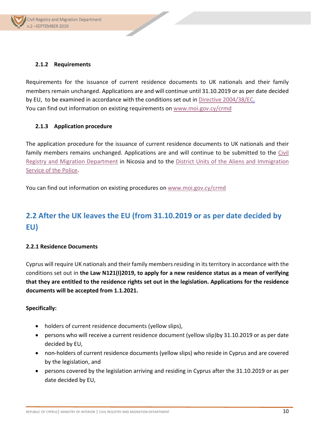#### <span id="page-9-0"></span>**2.1.2 Requirements**

Requirements for the issuance of current residence documents to UK nationals and their family members remain unchanged. Applications are and will continue until 31.10.2019 or as per date decided by EU, to be examined in accordance with the conditions set out in [Directive 2004/38/EC.](https://eur-lex.europa.eu/LexUriServ/LexUriServ.do?uri=OJ:L:2004:158:0077:0123:en:PDF) You can find out information on existing requirements on [www.moi.gov.cy/crmd](http://www.moi.gov.cy/crmd)

#### <span id="page-9-1"></span>**2.1.3 Application procedure**

The application procedure for the issuance of current residence documents to UK nationals and their family members remains unchanged. Applications are and will continue to be submitted to the [Civil](http://www.moi.gov.cy/moi/crmd/crmd.nsf/contact_en/contact_en?OpenDocument&ExpandSection=1#_Section1)  [Registry and Migration Department](http://www.moi.gov.cy/moi/crmd/crmd.nsf/contact_en/contact_en?OpenDocument&ExpandSection=1#_Section1) in Nicosia and to the [District Units of the Aliens and Immigration](http://www.moi.gov.cy/moi/crmd/crmd.nsf/contact_en/contact_en?OpenDocument&ExpandSection=7#_Section7)  [Service of the Police](http://www.moi.gov.cy/moi/crmd/crmd.nsf/contact_en/contact_en?OpenDocument&ExpandSection=7#_Section7)**.** 

You can find out information on existing procedures on [www.moi.gov.cy/crmd](http://www.moi.gov.cy/crmd)

## <span id="page-9-2"></span>**2.2 After the UK leaves the EU (from 31.10.2019 or as per date decided by EU)**

#### <span id="page-9-3"></span>**2.2.1 Residence Documents**

Cyprus will require UK nationals and their family members residing in its territory in accordance with the conditions set out in **the Law N121(I)2019, to apply for a new residence status as a mean of verifying that they are entitled to the residence rights set out in the legislation. Applications for the residence documents will be accepted from 1.1.2021.** 

#### **Specifically:**

- holders of current residence documents (yellow slips),
- persons who will receive a current residence document (yellow slip)by 31.10.2019 or as per date decided by EU,
- non-holders of current residence documents (yellow slips) who reside in Cyprus and are covered by the legislation, and
- persons covered by the legislation arriving and residing in Cyprus after the 31.10.2019 or as per date decided by EU,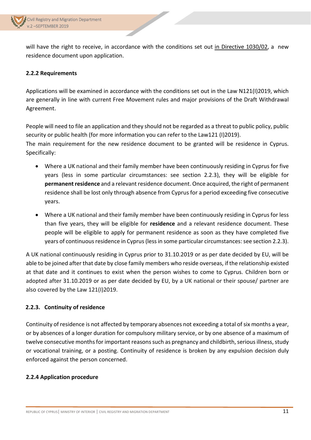

will have the right to receive, in accordance with the conditions set out in Directive 1030/02, a new residence document upon application.

#### <span id="page-10-0"></span>**2.2.2 Requirements**

Applications will be examined in accordance with the conditions set out in the Law N121(I)2019, which are generally in line with current Free Movement rules and major provisions of the Draft Withdrawal Agreement.

People will need to file an application and they should not be regarded as a threat to public policy, public security or public health (for more information you can refer to the Law121 (I)2019). The main requirement for the new residence document to be granted will be residence in Cyprus.

Specifically:

- Where a UK national and their family member have been continuously residing in Cyprus for five years (less in some particular circumstances: see section 2.2.3), they will be eligible for **permanent residence** and a relevant residence document. Once acquired, the right of permanent residence shall be lost only through absence from Cyprus for a period exceeding five consecutive years.
- Where a UK national and their family member have been continuously residing in Cyprus for less than five years, they will be eligible for **residence** and a relevant residence document. These people will be eligible to apply for permanent residence as soon as they have completed five years of continuous residence in Cyprus (less in some particular circumstances: see section 2.2.3).

A UK national continuously residing in Cyprus prior to 31.10.2019 or as per date decided by EU, will be able to be joined after that date by close family members who reside overseas, if the relationship existed at that date and it continues to exist when the person wishes to come to Cyprus. Children born or adopted after 31.10.2019 or as per date decided by EU, by a UK national or their spouse/ partner are also covered by the Law 121(I)2019.

#### <span id="page-10-1"></span>**2.2.3. Continuity of residence**

Continuity of residence is not affected by temporary absences not exceeding a total of six months a year, or by absences of a longer duration for compulsory military service, or by one absence of a maximum of twelve consecutive months for important reasons such as pregnancy and childbirth, serious illness, study or vocational training, or a posting. Continuity of residence is broken by any expulsion decision duly enforced against the person concerned.

#### <span id="page-10-2"></span>**2.2.4 Application procedure**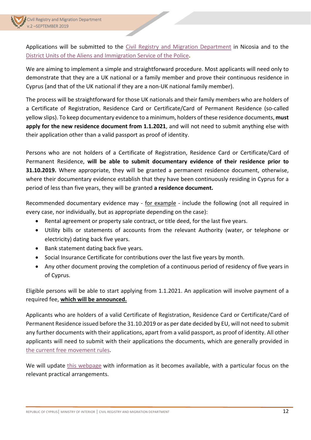Applications will be submitted to the [Civil Registry and Migration Department](http://www.moi.gov.cy/moi/crmd/crmd.nsf/contact_en/contact_en?OpenDocument&ExpandSection=1#_Section1) in Nicosia and to the [District Units of the Aliens and Immigration Service of the Police](http://www.moi.gov.cy/moi/crmd/crmd.nsf/contact_en/contact_en?OpenDocument&ExpandSection=7#_Section7)**.** 

We are aiming to implement a simple and straightforward procedure. Most applicants will need only to demonstrate that they are a UK national or a family member and prove their continuous residence in Cyprus (and that of the UK national if they are a non-UK national family member).

The process will be straightforward for those UK nationals and their family members who are holders of a Certificate of Registration, Residence Card or Certificate/Card of Permanent Residence (so-called yellow slips). To keep documentary evidence to a minimum, holders of these residence documents, **must apply for the new residence document from 1.1.2021**, and will not need to submit anything else with their application other than a valid passport as proof of identity.

Persons who are not holders of a Certificate of Registration, Residence Card or Certificate/Card of Permanent Residence, **will be able to submit documentary evidence of their residence prior to 31.10.2019.** Where appropriate, they will be granted a permanent residence document, otherwise, where their documentary evidence establish that they have been continuously residing in Cyprus for a period of less than five years, they will be granted **a residence document.**

Recommended documentary evidence may - for example - include the following (not all required in every case, nor individually, but as appropriate depending on the case):

- Rental agreement or property sale contract, or title deed, for the last five years.
- Utility bills or statements of accounts from the relevant Authority (water, or telephone or electricity) dating back five years.
- Bank statement dating back five years.
- Social Insurance Certificate for contributions over the last five years by month.
- Any other document proving the completion of a continuous period of residency of five years in of Cyprus.

Eligible persons will be able to start applying from 1.1.2021. An application will involve payment of a required fee, **which will be announced.**

Applicants who are holders of a valid Certificate of Registration, Residence Card or Certificate/Card of Permanent Residence issued before the 31.10.2019 or as per date decided by EU, will not need to submit any further documents with their applications, apart from a valid passport, as proof of identity. All other applicants will need to submit with their applications the documents, which are generally provided in [the current free movement rules.](http://www.moi.gov.cy/moi/crmd/crmd.nsf/All/B20E184509AB8C5DC2257D1F001EF6F2?OpenDocument)

We will update [this webpage](http://www.moi.gov.cy/moi/crmd/crmd.nsf/All/C482CD407E0903D8C225830E00384072) with information as it becomes available, with a particular focus on the relevant practical arrangements.